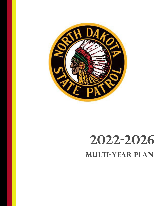

# **2022-2026 Multi-Year Plan**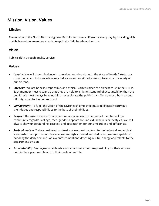# **Mission**, **Vision**, **Values**

## **Mission**

The mission of the North Dakota Highway Patrol is to make a difference every day by providing high quality law enforcement services to keep North Dakota safe and secure.

# **Vision**

Public safety through quality service.

#### **Values**

- *Loyalty***:** We will show allegiance to ourselves, our department, the state of North Dakota, our community, and to those who came before us and sacrificed so much to ensure the safety of our citizens.
- *Integrity***:** We are honest, responsible, and ethical. Citizens place the highest trust in the NDHP. Each member must recognize that they are held to a higher standard of accountability than the public. We must always be mindful to never violate the public trust. Our conduct, both on and off duty, must be beyond reproach.
- *Commitment***:** To fulfill the vision of the NDHP each employee must deliberately carry out their duties and responsibilities to the best of their abilities.
- *Respect***:** Because we are a diverse culture, we value each other and all members of our community regardless of age, race, gender, appearance, individual beliefs or lifestyles. We will always show understanding, respect, and appreciation for our similarities and differences.
- *Professionalism***:** To be considered professional we must conform to the technical and ethical standards of our profession. Because we are highly trained and dedicated, we are capable of handling the daily demands of law enforcement and devoting our full energy and talents to the department's vision.
- *Accountability***:** Employees at all levels and ranks must accept responsibility for their actions both in their personal life and in their professional life.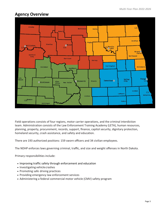# **Agency Overview**



Field operations consists of four regions, motor carrier operations, and the criminal interdiction team. Administration consists of the Law Enforcement Training Academy (LETA), human resources, planning, property, procurement, records, support, finance, capitol security, dignitary protection, homeland security, crash assistance, and safety and education.

There are 193 authorized positions: 159 sworn officers and 34 civilian employees.

The NDHP enforces laws governing criminal, traffic, and size and weight offenses in North Dakota.

Primary responsibilities include:

- Improving traffic safety through enforcement and education
- Investigating vehiclecrashes
- Promoting safe driving practices
- Providing emergency law enforcement services
- Administering a federal commercial motor vehicle (CMV) safety program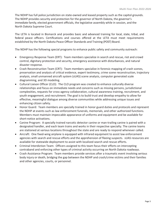The NDHP has full police jurisdiction on state-owned and leased property such as the capitol grounds. The NDHP provides security and protection for the governor of North Dakota, the governor's immediate family, elected government officials, the legislative assembly while in session, and the North Dakota Supreme Court.

The LETA is located in Bismarck and provides basic and advanced training for local, state, tribal, and federal peace officers. Certifications and courses offered at the LETA must meet requirements established by the North Dakota Peace Officer Standards and Training (POST) Board.

The NDHP has the following special programs to enhance public safety and community outreach:

- Emergency Response Team (ERT): Team members specialize in search and rescue, riot and crowd control, dignitary protection and security, emergency assistance with disturbances, and natural disaster response.
- Crash Reconstruction Team (CRT): Team members specialize in forensic mapping of crash scenes, preservation and analysis of critical evidence, expert testimony, crime scene reconstruction, trajectory analysis, small unmanned aircraft system (sUAS) scene analysis, computer generated scale diagramming, and 3D modeling.
- Cultural Liaison Officer (CLO): The CLO program was created to enhance culturally diverse relationships and focus on immediate needs and concerns such as missing persons, jurisdictional complexities, requests for cross-agency collaboration, cultural awareness training, recruitment, and youth engagement, and recruitment. The goal is to build trust and develop empathy to allow for effective, meaningful dialogue among diverse communities while addressing unique issues and enhancing citizen safety.
- Honor Guard: Team members are specially trained in honor guard duties and protocols and represent the NDHP at events such as law enforcement funerals, memorials, and other authorized functions. Members must maintain impeccable appearance of uniforms and equipment and be available for short-notice activations.
- Canine Program: A specially trained narcotic detector canine or man-trailing canine is paired with a designated handler, and each team trains and works in their respective specialty. The canine teams are stationed at various locations throughout the state and are ready to respond whenever called.
- Aircraft: One fixed-wing airplane is equipped with infrared equipment to assist law enforcement agencies with search and rescue efforts and the apprehension of fleeing suspects. sUAS resources are available for statewide deployment to assist with localized search and rescue efforts.
- Criminal Interdiction Team: Officers assigned to this team focus their efforts on intercepting contraband and enforcing other types of criminal activity occurring on North Dakota roadways.
- Crash Assistance Program: Team members provide services after a traumatic event involving serious body injury or death, bridging the gap between the NDHP and crash/crime victims and their families and other agencies, courts, or personnel.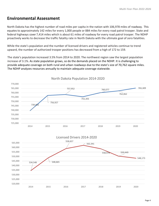# **Environmental Assessment**

North Dakota has the highest number of road miles per capita in the nation with 106,978 miles of roadway. This equates to approximately 142 miles for every 1,000 people or 884 miles for every road patrol trooper. State and federal highways cover 7,414 miles which is about 61 miles of roadway for every road patrol trooper. The NDHP proactively works to decrease the traffic fatality rate in North Dakota with the ultimate goal of zero fatalities.

While the state's population and the number of licensed drivers and registered vehicles continue to trend upward, the number of authorized trooper positions has decreased from a high of 172 to 159.

The state's population increased 3.5% from 2014 to 2020. The northwest region saw the largest population increase of 3.1%. As state population grows, so do the demands placed on the NDHP. It is challenging to provide adequate coverage on both rural and urban roadways due to the state's size of 70,762 square miles. The NDHP analyzes resources annually to maintain adequate coverage statewide.



## North Dakota Population 2014-2020

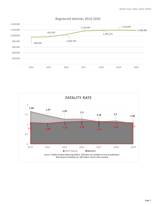

# Registered Vehicles 2014-2020

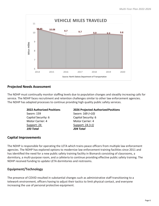

## **Projected Needs Assessment**

The NDHP must continually monitor staffing levels due to population changes and steadily increasing calls for service. The NDHP faces recruitment and retention challenges similar to other law enforcement agencies. The NDHP has adapted processes to continue providing high quality public safety services.

> Sworn: 159 Sworn: 169 *(+10)* Capitol Security: 6 Capitol Security: 6 Motor Carrier: 4 Motor Carrier: 4 Support: 24 Support: 24 *(+1) 193 Total 204 Total*

#### **2022 Authorized Positions 2026 Projected AuthorizedPositions**

## **Capital Improvements**

The NDHP is responsible for operating the LETA which trains peace officers from multiple law enforcement agencies. The NDHP has explored options to modernize law enforcement training facilities since 2011 and has identified the need for a new public safety training facility in Bismarck consisting of classrooms, a dormitory, a multi-purpose room, and a cafeteria to continue providing effective public safety training. The NDHP received funding to update LETA dormitories and restrooms.

## **Equipment/Technology**

The presence of COVID resulted in substantial changes such as administrative staff transitioning to a telework environment, officers having to adjust their tactics to limit physical contact, and everyone increasing the use of personal protective equipment.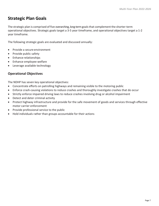# **Strategic Plan Goals**

The strategic plan is comprised of five overarching, long-term goalsthat complement the shorter-term operational objectives. Strategic goals target a 3-5 year timeframe, and operational objectives target a 1-2 year timeframe.

The following strategic goals are evaluated and discussed annually:

- Provide a secure environment
- Provide public safety
- Enhance relationships
- Enhance employee welfare
- Leverage available technology

## **Operational Objectives**

The NDHP has seven key operational objectives:

- Concentrate efforts on patrolling highways and remaining visible to the motoring public
- Enforce crash-causing violations to reduce crashes and thoroughly investigate crashes that do occur
- Strictly enforce impaired driving laws to reduce crashes involving drug or alcohol impairment
- Detect and deter criminal activity
- Protect highway infrastructure and provide for the safe movement of goods and services through effective motor carrier enforcement
- Provide professional service to the public
- Hold individuals rather than groups accountable for their actions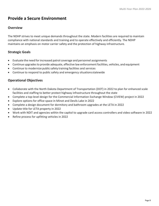# **Provide a Secure Environment**

## **Overview**

The NDHP strives to meet unique demands throughout the state. Modern facilities are required to maintain compliance with national standards and training and to operate effectively and efficiently. The NDHP maintains an emphasis on motor carrier safety and the protection of highway infrastructure.

# **Strategic Goals**

- Evaluate the need forincreased patrol coverage and personnel assignments
- Continue upgrades to provide adequate, effective law enforcement facilities, vehicles, and equipment
- Continue to modernize public safety training facilities and services
- Continue to respond to public safety and emergency situationsstatewide

- Collaborate with the North Dakota Department of Transportation (DOT) in 2022 to plan for enhanced scale facilities and staffing to better protect highway infrastructure throughout the state
- Complete a top-level design for the Commercial Information Exchange Window (CVIEW) project in 2022
- Explore options for office space in Minot and Devils Lake in 2022
- Complete a design document for dormitory and bathroom upgrades at the LETA in 2022
- Update title for LETA property in 2022
- Work with NDIT and agencies within the capitol to upgrade card access controllers and video software in 2022
- Refine process for upfitting vehicles in 2022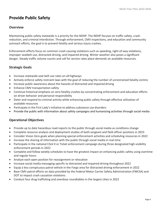# **Provide Public Safety**

## **Overview**

Maintaining public safety statewide is a priority for the NDHP. The NDHP focuses on traffic safety, crash reduction, and criminal interdiction. Through enforcement, CMV inspections, and education and community outreach efforts, the goal is to prevent fatality and serious injury crashes.

Enforcement efforts focus on common crash-causing violations such as speeding, right-of-way violations, improper seatbelt use, distracted driving, and impaired driving. Winter weather also poses a significant danger. Steady traffic volume counts and call for service rates place demands on available resources.

## **Strategic Goals**

- Increase statewide seat belt use rates on all highways
- Actively enforce safety restraint laws with the goal of reducing the number of unrestrained fatality victims
- Increase public awareness about the hazards of distracted and impaired driving
- Enhance CMV transportation safety
- Continue historical emphasis on zero fatality crashes by concentrating enforcement and education efforts on driver behavior and personal responsibility
- Deter and respond to criminal activity while enhancing public safety through effective utilization of available resources
- Participate in the First Lady's initiative to address substance use disorders
- Provide the public with information about safety campaigns and humanizing activities through social media

- Provide up to date hazardous road reports to the public through social media as conditions change
- Complete resource analysis and deployment studies of both sergeant and field officer positions in 2023
- Consider Vision Zero goals when planning special enforcement activities and scheduling resources in 2022
- Increase the sharing of information with the public through social media in real-time
- Participate in the national Click It or Ticket enforcement campaign during three designated high-visibility enforcement periods in 2022
- Complete and follow weekly schedules to have the greatest impact on enhancing public safety using overtime and regular hours
- Analyze each open position for reassignment or relocation
- Increase social media messaging specific to distracted and impaired driving throughout 2022
- Equip a less conspicuous patrol vehicle in the Fargo area for distracted driving enforcement in 2022
- Base CMV patrol efforts on data provided by the Federal Motor Carrier Safety Administration (FMCSA) and DOT to impact crash causation violations
- Conduct four drug trafficking and overdose roundtables in the largest cities in 2022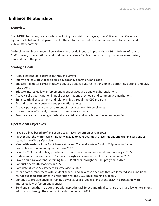# **Enhance Relationships**

## **Overview**

The NDHP has many stakeholders including motorists, taxpayers, the Office of the Governor, legislators, tribal and local governments, the motor carrier industry, and other law enforcement and public safety partners.

Technology-enabled surveys allow citizens to provide input to improve the NDHP's delivery of service. Traffic safety presentations and training are also effective methods to provide relevant safety information to the public.

# **Strategic Goals**

- Assess stakeholder satisfaction through surveys
- Inform and educate stakeholders about agency operations and goals
- Educate the motor carrier industry about size and weight restrictions, online permitting options, and CMV regulations
- Educate interested law enforcement agencies about size and weight regulations
- Actively solicit participation in public presentations at schools and community organizations
- Enhance tribal engagement and relationships through the CLO program
- Expand community outreach and prevention efforts
- Actively participate in the recruitment of prospective NDHP employees
- Use resources effectively to meet customer service needs
- Provide advanced training to federal, state, tribal, and local law enforcement agencies

- Provide a bias-based profiling course to all NDHP sworn officers in 2022
- Partner with the motor carrier industry in 2022 to conduct safety presentations and training sessions as stated in the CMV safety plan
- Meet with leaders of the Spirit Lake Nation and Turtle Mountain Band of Chippewa to further discuss law enforcement agreements in 2022
- Task the CLO to visit public, private, and tribal schools to enhance applicant diversity in 2022
- Update and advertise the NDHP survey through social media to solicit participation in 2022
- Provide cultural awareness training to NDHP officers through the CLO program in 2022
- Conduct one youth academy in2022
- Complete at least 275 safety talks statewide in 2022
- Attend career fairs, meet with student groups, and advertise openings through targeted social media to recruit qualified candidates in preparation for the 2022 NDHP training academy
- Continue to provide ongoing training as well as specialized training at the LETA in partnership with interested law enforcement agencies
- Build and strengthen relationships with narcotics task forces and tribal partners and share law enforcement information through the criminal interdiction team in 2022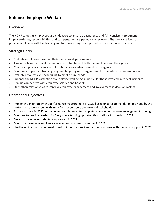# **Enhance Employee Welfare**

#### **Overview**

The NDHP values its employees and endeavors to ensure transparency and fair, consistent treatment. Employee duties, responsibilities, and compensation are periodically reviewed. The agency strives to provide employees with the training and tools necessary to support efforts for continued success.

## **Strategic Goals**

- Evaluate employees based on their overall work performance
- Assess professional development interests that benefit both the employee and the agency
- Mentor employees for successful continuation or advancement in the agency
- Continue a supervisor training program, targeting new sergeants and those interested in promotion
- Evaluate resources and scheduling to meet future needs
- Enhance the NDHP's attention to employee well-being, in particular those involved in critical incidents
- Remain competitive with employee salaries and benefits
- Strengthen relationships to improve employee engagement and involvement in decision making

- Implement an enforcement performance measurement in 2022 based on a recommendation provided by the performance work group with input from supervisors and external stakeholders
- Explore options in 2022 for commanders who need to complete advanced upper-level management training
- Continue to provide Leadership Everywhere training opportunities to all staff throughout 2022
- Revamp the sergeant orientation program in 2022
- Conduct at least one employee engagement workgroup meeting in 2022
- Use the online discussion board to solicit input for new ideas and act on those with the most support in 2022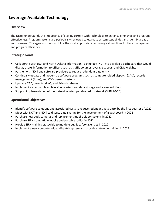# **Leverage Available Technology**

## **Overview**

The NDHP understands the importance of staying current with technology to enhance employee and program effectiveness. Program systems are periodically reviewed to evaluate system capabilities and identify areas of improvement. The agency strives to utilize the most appropriate technological functions for time management and program efficiency.

# **Strategic Goals**

- Collaborate with DOT and North Dakota Information Technology (NDIT) to develop a dashboard that would display useful information to officers such as traffic volumes, average speeds, and CMV weights
- Partner with NDIT and software providers to reduce redundant data entry
- Continually update and modernize software programs such as computer-aided dispatch (CAD), records management (Aries), and CMV permits systems
- Upgrade CAD, permits, sUAS, and Aries databases
- Implement a compatible mobile video system and data storage and access solutions
- Support implementation of the statewide interoperable radio network (SIRN 20/20)

- Identify software solutions and associated costs to reduce redundant data entry by the first quarter of 2022
- Meet with DOT and NDIT to discuss data sharing for the development of a dashboard in 2022
- Purchase new body cameras and replacement mobile video systems in 2022
- Purchase SIRN-compatible mobile and portable radios in 2022
- Provide SIRN training statewide to multiple public safety agencies in 2022
- Implement a new computer-aided dispatch system and provide statewide training in 2022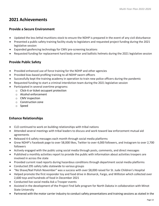# **2021 Achievements**

## **Provide a Secure Environment**

- Updated the less lethal munitions stock to ensure the NDHP is prepared in the event of any civil disturbance
- Presented a public safety training facility study to legislators and requested project funding during the 2021 legislative session
- Expanded geofencing technology for CMV pre-screening locations
- Requested funding for replacement hard body armor and ballistic helmets during the 2021 legislative session

# **Provide Public Safety**

- Provided enhanced use of force training for the NDHP and other agencies
- Provided bias-based profiling training to all NDHP sworn officers
- Successfully kept the training academy in operation to train new police officers during the pandemic
- Requested funding to start a criminal interdiction team during the 2021 legislative session
- Participated in several overtime programs:
	- o Click-it or ticket occupant protection
	- o Alcohol enforcement
	- o CMV inspection
	- o Construction zone
	- o Speed

# **Enhance Relationships**

- CLO continued to work on building relationships with tribal nations
- Attended several meetings with tribal leaders to discuss and work toward law enforcement mutual aid agreements
- Released 4-6 safety messages each month through social media platforms
- Grew NDHP's Facebook page to over 58,000 likes, Twitter to over 4,000 followers, and Instagram to over 2,700 followers
- Actively engaged with the public using social media through posts, comments, and direct messages
- Published a monthly activities report to provide the public with information about activities troopers are involved in across the state
- Provided current road reports during hazardous conditions through department social media platforms
- Conducted 295 safety talks statewide to various groups
- "No Shave/Nail Polish November" was a success with over \$8,000 raised for St. Jude Children's Hospital
- Helped promote the first responder toy and food drive in Bismarck, Fargo, and Williston which collected over 2,600 toys and hundreds of food in December 2021
- Conducted live social media Ask a Trooper events
- Assisted in the development of the Project Find Safe program for North Dakota in collaboration with Minot State University
- Partnered with the motor carrier industry to conduct safety presentations and training sessions as stated in the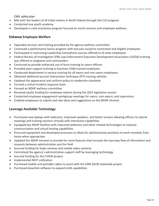CMV safety plan

- Met with the leaders of all tribal nations in North Dakota through the CLO program
- Conducted one youth academy
- Developed a crash assistance program focused on victim services and employee wellness

## **Enhance Employee Welfare**

- Expanded services and training provided by the agency wellness committee
- Continued a performance bonus program with bonuses issued to nominated and eligible employees
- Participated in instructing Leadership Everywhere courses offered to all state employees
- Federal Bureau of Investigation (FBI) Law Enforcement Executive Development Association (LEEDA) training was offered to sergeants and commanders
- Continued to provide enhanced use of force training to sworn officers
- Provided peer support training to fourteen CISM-trained employees
- Conducted department in-service training for all sworn and non-sworn employees
- Obtained additional pursuit intervention technique (PIT) training vehicles
- Updated the appearance and uniform policy to modernize standards
- Formed a critical incident response team
- Formed an NDHP wellness committee
- Received equity funding for employee salaries during the 2021 legislative session
- Conducted employee engagement workgroup meetings for sworn, non-sworn, and supervisors
- Enabled employees to submit and rate ideas and suggestions on the NDHP intranet

## **Leverage Available Technology**

- Purchased new laptops with webcams, improved speakers, and better screens allowing officers to attend meetings and training sessions virtually with interactive capabilities
- Equipped key NDHP facilities with improved webcams and other related technologies to improve communication and virtual hosting capabilities
- Procured equipment and developed processes to allow for administrative positions to work remotely from home when appropriate
- Updated the NDHP intranet to provide for more features that increase the two-way flow of information and requests between administration and the field
- Secured funding for body cameras and mobile video cameras
- Centralized the agency's administrative support staff by leveraging technology
- Secured funding for the CVIEW project
- Implemented NDIT unification
- Purchased mobile and portable radios to assist with the SIRN 20/20 statewide project
- Purchased downlink software to expand sUAS capabilities